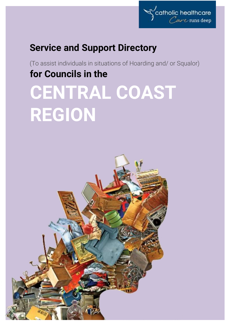

## **Service and Support Directory**

(To assist individuals in situations of Hoarding and/ or Squalor) **for Councils in the**

# **CENTRAL COAST REGION**

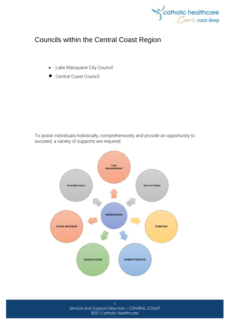

### Councils within the Central Coast Region

- [Lake Macquarie City Council](http://www.lakemac.com.au/)
- [Central Coast Council](https://www.centralcoast.nsw.gov.au/)

To assist individuals holistically, comprehensively and provide an opportunity to succeed, a variety of supports are required.



*Service and Support Directory – CENTRAL COAST* 2021 Catholic Healthcare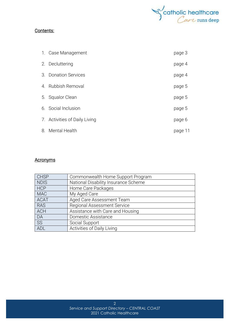

#### Contents:

| 1. Case Management            | page 3  |
|-------------------------------|---------|
| 2. Decluttering               | page 4  |
| 3. Donation Services          | page 4  |
| 4. Rubbish Removal            | page 5  |
| 5. Squalor Clean              | page 5  |
| 6. Social Inclusion           | page 5  |
| 7. Activities of Daily Living | page 6  |
| 8. Mental Health              | page 11 |

#### **Acronyms**

| <b>CHSP</b> | Commonwealth Home Support Program    |
|-------------|--------------------------------------|
| <b>NDIS</b> | National Disability Insurance Scheme |
| <b>HCP</b>  | Home Care Packages                   |
| <b>MAC</b>  | My Aged Care                         |
| <b>ACAT</b> | Aged Care Assessment Team            |
| <b>RAS</b>  | <b>Regional Assessment Service</b>   |
| <b>ACH</b>  | Assistance with Care and Housing     |
| DA          | Domestic Assistance                  |
| SS          | Social Support                       |
| ADL         | Activities of Daily Living           |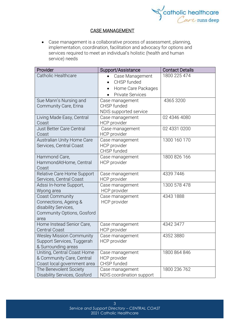

#### CASE MANAGEMENT

• Case management is a collaborative process of assessment, planning, implementation, coordination, facilitation and advocacy for options and services required to meet an individual's holistic (health and human service) needs

| Provider                          | Support/Assistance        | <b>Contact Details</b> |
|-----------------------------------|---------------------------|------------------------|
| <b>Catholic Healthcare</b>        | Case Management           | 1800 225 474           |
|                                   | CHSP funded               |                        |
|                                   | Home Care Packages        |                        |
|                                   | <b>Private Services</b>   |                        |
| Sue Mann's Nursing and            | Case management           | 4365 3200              |
| Community Care, Erina             | CHSP funded               |                        |
|                                   | NDIS supported service    |                        |
| Living Made Easy, Central         | Case management           | 02 4346 4080           |
| Coast                             | HCP provider              |                        |
| <b>Just Better Care Central</b>   | Case management           | 02 4331 0200           |
| Coast                             | HCP provider              |                        |
| <b>Australian Unity Home Care</b> | Case management           | 1300 160 170           |
| Services, Central Coast           | HCP provider              |                        |
|                                   | CHSP funded               |                        |
| Hammond Care,                     | Case management           | 1800 826 166           |
| HammondAtHome, Central            | HCP provider              |                        |
| Coast                             |                           |                        |
| Relative Care Home Support        | Case management           | 4339 7446              |
| Services, Central Coast           | HCP provider              |                        |
| Adssi In-home Support,            | Case management           | 1300 578 478           |
| Wyong area                        | HCP provider              |                        |
| <b>Coast Community</b>            | Case management           | 4343 1888              |
| Connections, Ageing &             | HCP provider              |                        |
| disability Services,              |                           |                        |
| Community Options, Gosford        |                           |                        |
| area                              |                           |                        |
| Home Instead Senior Care,         | Case management           | 4342 3477              |
| <b>Central Coast</b>              | HCP provider              |                        |
| <b>Wesley Mission Community</b>   | Case management           | 4352 3880              |
| Support Services, Tuggerah        | HCP provider              |                        |
| & Surrounding areas               |                           |                        |
| Uniting, Central Coast Home       | Case management           | 1800 864 846           |
| & Community Care, Central         | HCP provider              |                        |
| Coast local government area       | CHSP funded               |                        |
| The Benevolent Society            | Case management           | 1800 236 762           |
| Disability Services, Gosford      | NDIS coordination support |                        |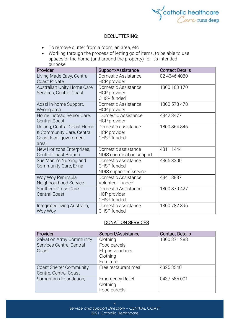

#### DECLUTTERING:

- To remove clutter from a room, an area, etc
- Working through the process of letting go of items, to be able to use spaces of the home (and around the property) for it's intended purpose

| Provider                          | Support/Assistance        | <b>Contact Details</b> |
|-----------------------------------|---------------------------|------------------------|
| Living Made Easy, Central         | Domestic Assistance       | 02 4346 4080           |
| <b>Coast Private</b>              | HCP provider              |                        |
| <b>Australian Unity Home Care</b> | Domestic Assistance       | 1300 160 170           |
| Services, Central Coast           | HCP provider              |                        |
|                                   | <b>CHSP</b> funded        |                        |
| Adssi In-home Support,            | Domestic Assistance       | 1300 578 478           |
| Wyong area                        | HCP provider              |                        |
| Home Instead Senior Care,         | Domestic Assistance       | 4342 3477              |
| <b>Central Coast</b>              | HCP provider              |                        |
| Uniting, Central Coast Home       | Domestic assistance       | 1800 864 846           |
| & Community Care, Central         | HCP provider              |                        |
| Coast local government            | CHSP funded               |                        |
| area                              |                           |                        |
| New Horizons Enterprises,         | Domestic assistance       | 43111444               |
| <b>Central Coast Branch</b>       | NDIS coordination support |                        |
| Sue Mann's Nursing and            | Domestic assistance       | 43653200               |
| Community Care, Erina             | <b>CHSP</b> funded        |                        |
|                                   | NDIS supported service    |                        |
| Woy Woy Peninsula                 | Domestic Assistance       | 43418837               |
| Neighbourhood Service             | Volunteer funded          |                        |
| Southern Cross Care,              | Domestic Assistance       | 1800 870 427           |
| <b>Central Coast</b>              | <b>HCP</b> provider       |                        |
|                                   | CHSP funded               |                        |
| Integrated living Australia,      | Domestic assistance       | 1300 782 896           |
| Woy Woy                           | CHSP funded               |                        |

#### DONATION SERVICES

| Provider                        | Support/Assistance      | <b>Contact Details</b> |
|---------------------------------|-------------------------|------------------------|
| <b>Salvation Army Community</b> | Clothing                | 1300 371 288           |
| Services Centre, Central        | Food parcels            |                        |
| Coast                           | Eftpos vouchers         |                        |
|                                 | Clothing                |                        |
|                                 | Furniture               |                        |
| <b>Coast Shelter Community</b>  | Free restaurant meal    | 4325 3540              |
| Centre, Central Coast           |                         |                        |
| Samaritans Foundation,          | <b>Emergency Relief</b> | 0437 585 001           |
|                                 | Clothing                |                        |
|                                 | Food parcels            |                        |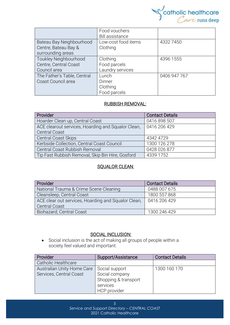

|                             | Food vouchers<br><b>Bill assistance</b> |              |
|-----------------------------|-----------------------------------------|--------------|
|                             |                                         |              |
| Bateau Bay Neighbourhood    | Low-cost food items                     | 43327450     |
| Centre, Bateau Bay &        | Clothing                                |              |
| surrounding areas           |                                         |              |
| Toukley Neighbourhood       | Clothing                                | 4396 1555    |
| Centre, Central Coast       | Food parcels                            |              |
| Council area                | Laundry services                        |              |
| The Father's Table, Central | Lunch                                   | 0406 947 767 |
| Coast Council area          | Dinner                                  |              |
|                             | Clothing                                |              |
|                             | Food parcels                            |              |

#### RUBBISH REMOVAL:

| Provider                                           | <b>Contact Details</b> |
|----------------------------------------------------|------------------------|
| Hoarder Clean up, Central Coast                    | 0416 898 507           |
| ACE clearout services, Hoarding and Squalor Clean, | 0416 206 429           |
| <b>Central Coast</b>                               |                        |
| <b>Central Coast Skips</b>                         | 4342 4729              |
| Kerbside Collection, Central Coast Council         | 1300 126 278           |
| Central Coast Rubbish Removal                      | 0428 026 877           |
| Tip Fast Rubbish Removal, Skip Bin Hire, Gosford   | 4339 1752              |

#### SQUALOR CLEAN:

| Provider                                            | <b>Contact Details</b> |
|-----------------------------------------------------|------------------------|
| National Trauma & Crime Scene Cleaning              | 0488 007 675           |
| Cleansleep, Central Coast                           | 1800 557 868           |
| ACE clear out services, Hoarding and Squalor Clean, | 0416 206 429           |
| <b>Central Coast</b>                                |                        |
| <b>Biohazard, Central Coast</b>                     | 1300 246 429           |

#### SOCIAL INCLUSION:

• Social [inclusion](https://www.collinsdictionary.com/dictionary/english/inclusion) is the act of making all groups of people within a society [feel](https://www.collinsdictionary.com/dictionary/english/feel) valued and [important.](https://www.collinsdictionary.com/dictionary/english/important)

| Provider                   | Support/Assistance   | <b>Contact Details</b> |
|----------------------------|----------------------|------------------------|
| Catholic Healthcare        |                      |                        |
| Australian Unity Home Care | Social support       | 1300 160 170           |
| Services, Central Coast    | Social company       |                        |
|                            | Shopping & transport |                        |
|                            | services             |                        |
|                            | HCP provider         |                        |

5 *Service and Support Directory – CENTRAL COAST* 2021 Catholic Healthcare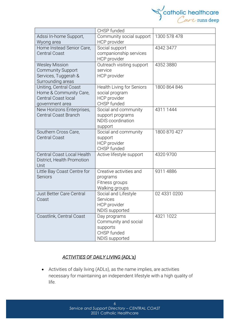

|                                   | CHSP funded                      |              |
|-----------------------------------|----------------------------------|--------------|
| Adssi In-home Support,            | Community social support         | 1300 578 478 |
| Wyong area                        | <b>HCP</b> provider              |              |
| Home Instead Senior Care,         | Social support                   | 4342 3477    |
| <b>Central Coast</b>              | companionship services           |              |
|                                   | HCP provider                     |              |
| <b>Wesley Mission</b>             | Outreach visiting support        | 4352 3880    |
| <b>Community Support</b>          | service                          |              |
| Services, Tuggerah &              | HCP provider                     |              |
| Surrounding areas                 |                                  |              |
| Uniting, Central Coast            | <b>Health Living for Seniors</b> | 1800 864 846 |
| Home & Community Care,            | social program                   |              |
| <b>Central Coast local</b>        | HCP provider                     |              |
| government area                   | CHSP funded                      |              |
| New Horizons Enterprises,         | Social and community             | 4311 1444    |
| <b>Central Coast Branch</b>       | support programs                 |              |
|                                   | <b>NDIS</b> coordination         |              |
|                                   | support                          |              |
| Southern Cross Care,              | Social and community             | 1800 870 427 |
| <b>Central Coast</b>              | support                          |              |
|                                   | HCP provider                     |              |
|                                   | CHSP funded                      |              |
| <b>Central Coast Local Health</b> | Active lifestyle support         | 4320 9700    |
| District, Health Promotion        |                                  |              |
| Unit                              |                                  |              |
| Little Bay Coast Centre for       | Creative activities and          | 9311 4886    |
| Seniors                           | programs                         |              |
|                                   | Fitness groups                   |              |
|                                   | Walking groups                   |              |
| Just Better Care Central          | Social and Lifestyle             | 02 4331 0200 |
| Coast                             | Services                         |              |
|                                   | <b>HCP</b> provider              |              |
|                                   | NDIS supported                   |              |
| Coastlink, Central Coast          | Day programs                     | 4321 1022    |
|                                   | Community and social             |              |
|                                   | supports                         |              |
|                                   | CHSP funded                      |              |
|                                   | <b>NDIS</b> supported            |              |

#### *ACTIVITIES OF DAILY LIVING (ADL's)*

• Activities of daily living (ADLs), as the name implies, are activities necessary for maintaining an independent lifestyle with a high quality of life.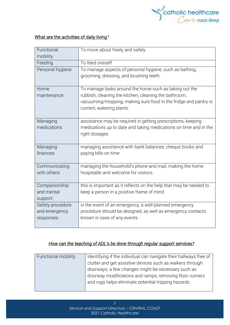

#### What are the activities of daily living*?*

| Functional<br>mobility: | To move about freely and safely.                                                                   |
|-------------------------|----------------------------------------------------------------------------------------------------|
| Feeding                 | To feed oneself                                                                                    |
| Personal hygiene:       | To manage aspects of personal hygiene, such as bathing,<br>grooming, dressing, and brushing teeth. |
| Home                    | To manage tasks around the home such as taking out the                                             |
| maintenance:            | rubbish, cleaning the kitchen, cleaning the bathroom,                                              |
|                         | vacuuming/mopping, making sure food in the fridge and pantry is<br>current, watering plants.       |
| Managing                | assistance may be required in getting prescriptions, keeping                                       |
| medications:            | medications up to date and taking medications on time and in the                                   |
|                         | right dosages.                                                                                     |
| Managing                | managing assistance with bank balances, cheque books and                                           |
| finances:               | paying bills on time                                                                               |
| Communicating           | managing the household's phone and mail, making the home                                           |
| with others:            | hospitable and welcome for visitors.                                                               |
| Companionship           | this is important as it reflects on the help that may be needed to                                 |
| and mental              | keep a person in a positive frame of mind.                                                         |
| support:                |                                                                                                    |
| Safety procedure        | in the event of an emergency, a well-planned emergency                                             |
| and emergency           | procedure should be designed; as well as emergency contacts                                        |
| responses:              | known in case of any events.                                                                       |
|                         |                                                                                                    |

#### *How can the teaching of ADL's be done through regular support services?*

| Functional mobility: | Identifying if the individual can navigate their hallways free of |
|----------------------|-------------------------------------------------------------------|
|                      | clutter and get assistive devices such as walkers through         |
|                      | doorways; a few changes might be necessary such as                |
|                      | doorway modifications and ramps; removing floor runners           |
|                      | and rugs helps eliminate potential tripping hazards.              |
|                      |                                                                   |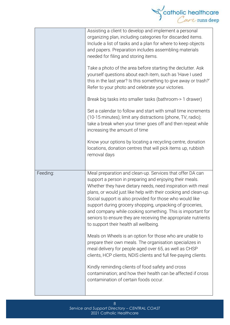

|          | Assisting a client to develop and implement a personal<br>organizing plan, including categories for discarded items.<br>Include a list of tasks and a plan for where to keep objects<br>and papers. Preparation includes assembling materials<br>needed for filing and storing items.<br>Take a photo of the area before starting the declutter. Ask<br>yourself questions about each item, such as 'Have I used<br>this in the last year? Is this something to give away or trash?'<br>Refer to your photo and celebrate your victories.<br>Break big tasks into smaller tasks (bathroom-> 1 drawer)<br>Set a calendar to follow and start with small time increments<br>(10-15 minutes); limit any distractions (phone, TV, radio);<br>take a break when your timer goes off and then repeat while<br>increasing the amount of time |
|----------|---------------------------------------------------------------------------------------------------------------------------------------------------------------------------------------------------------------------------------------------------------------------------------------------------------------------------------------------------------------------------------------------------------------------------------------------------------------------------------------------------------------------------------------------------------------------------------------------------------------------------------------------------------------------------------------------------------------------------------------------------------------------------------------------------------------------------------------|
|          | Know your options by locating a recycling centre, donation<br>locations, donation centres that will pick items up, rubbish<br>removal days                                                                                                                                                                                                                                                                                                                                                                                                                                                                                                                                                                                                                                                                                            |
| Feeding: | Meal preparation and clean-up. Services that offer DA can<br>support a person in preparing and enjoying their meals.<br>Whether they have dietary needs, need inspiration with meal<br>plans, or would just like help with their cooking and clean-up.<br>Social support is also provided for those who would like<br>support during grocery shopping, unpacking of groceries,<br>and company while cooking something. This is important for<br>seniors to ensure they are receiving the appropriate nutrients<br>to support their health all wellbeing.                                                                                                                                                                                                                                                                              |
|          | Meals on Wheels is an option for those who are unable to<br>prepare their own meals. The organisation specializes in<br>meal delivery for people aged over 65, as well as CHSP<br>clients, HCP clients, NDIS clients and full fee-paying clients.<br>Kindly reminding clients of food safety and cross                                                                                                                                                                                                                                                                                                                                                                                                                                                                                                                                |
|          | contamination; and how their health can be affected if cross<br>contamination of certain foods occur.                                                                                                                                                                                                                                                                                                                                                                                                                                                                                                                                                                                                                                                                                                                                 |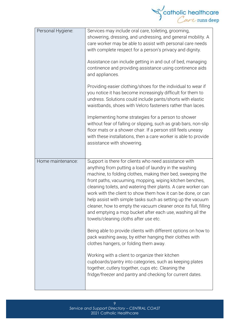

| Personal Hygiene: | Services may include oral care, toileting, grooming,<br>showering, dressing, and undressing, and general mobility. A<br>care worker may be able to assist with personal care needs<br>with complete respect for a person's privacy and dignity.<br>Assistance can include getting in and out of bed, managing<br>continence and providing assistance using continence aids<br>and appliances.<br>Providing easier clothing/shoes for the individual to wear if<br>you notice it has become increasingly difficult for them to<br>undress. Solutions could include pants/shorts with elastic<br>waistbands, shoes with Velcro fasteners rather than laces.<br>Implementing home strategies for a person to shower<br>without fear of falling or slipping, such as grab bars, non-slip<br>floor mats or a shower chair. If a person still feels uneasy<br>with these installations, then a care worker is able to provide<br>assistance with showering.                                                                         |
|-------------------|-------------------------------------------------------------------------------------------------------------------------------------------------------------------------------------------------------------------------------------------------------------------------------------------------------------------------------------------------------------------------------------------------------------------------------------------------------------------------------------------------------------------------------------------------------------------------------------------------------------------------------------------------------------------------------------------------------------------------------------------------------------------------------------------------------------------------------------------------------------------------------------------------------------------------------------------------------------------------------------------------------------------------------|
| Home maintenance: | Support is there for clients who need assistance with<br>anything from putting a load of laundry in the washing<br>machine, to folding clothes, making their bed, sweeping the<br>front paths, vacuuming, mopping, wiping kitchen benches,<br>cleaning toilets, and watering their plants. A care worker can<br>work with the client to show them how it can be done, or can<br>help assist with simple tasks such as setting up the vacuum<br>cleaner, how to empty the vacuum cleaner once its full, filling<br>and emptying a mop bucket after each use, washing all the<br>towels/cleaning cloths after use etc.<br>Being able to provide clients with different options on how to<br>pack washing away, by either hanging their clothes with<br>clothes hangers, or folding them away.<br>Working with a client to organize their kitchen<br>cupboards/pantry into categories, such as keeping plates<br>together, cutlery together, cups etc. Cleaning the<br>fridge/freezer and pantry and checking for current dates. |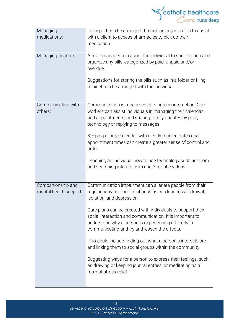

| Managing<br>medications:                    | Transport can be arranged through an organisation to assist<br>with a client to access pharmacies to pick up their<br>medication.                                                                                                                                                                                                                                                                                                                                                                                                                                                                                                                                             |
|---------------------------------------------|-------------------------------------------------------------------------------------------------------------------------------------------------------------------------------------------------------------------------------------------------------------------------------------------------------------------------------------------------------------------------------------------------------------------------------------------------------------------------------------------------------------------------------------------------------------------------------------------------------------------------------------------------------------------------------|
| Managing finances:                          | A case manager can assist the individual to sort through and<br>organize any bills, categorized by paid, unpaid and/or<br>overdue.<br>Suggestions for storing the bills such as in a folder or filing<br>cabinet can be arranged with the individual.                                                                                                                                                                                                                                                                                                                                                                                                                         |
| Communicating with<br>others:               | Communication is fundamental to human interaction. Care<br>workers can assist individuals in managing their calendar<br>and appointments, and sharing family updates by post,<br>technology or replying to messages<br>Keeping a large calendar with clearly marked dates and<br>appointment times can create a greater sense of control and<br>order.<br>Teaching an individual how to use technology such as zoom<br>and searching internet links and YouTube videos                                                                                                                                                                                                        |
| Companionship and<br>mental health support: | Communication impairment can alienate people from their<br>regular activities, and relationships can lead to withdrawal,<br>isolation, and depression.<br>Care plans can be created with individuals to support their<br>social interaction and communication. It is important to<br>understand why a person is experiencing difficulty in<br>communicating and try and lessen the effects.<br>This could include finding out what a person's interests are<br>and linking them to social groups within the community.<br>Suggesting ways for a person to express their feelings, such<br>as drawing or keeping journal entries, or meditating as a<br>form of stress relief. |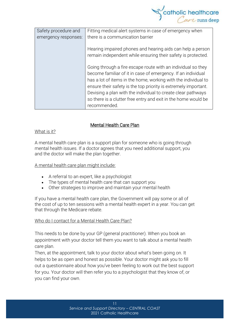

| Safety procedure and | Fitting medical alert systems in case of emergency when         |  |
|----------------------|-----------------------------------------------------------------|--|
| emergency responses: | there is a communication barrier                                |  |
|                      |                                                                 |  |
|                      | Hearing impaired phones and hearing aids can help a person      |  |
|                      | remain independent while ensuring their safety is protected.    |  |
|                      |                                                                 |  |
|                      | Going through a fire escape route with an individual so they    |  |
|                      | become familiar of it in case of emergency. If an individual    |  |
|                      | has a lot of items in the home, working with the individual to  |  |
|                      | ensure their safety is the top priority is extremely important. |  |
|                      | Devising a plan with the individual to create clear pathways    |  |
|                      | so there is a clutter free entry and exit in the home would be  |  |
|                      | recommended.                                                    |  |

#### Mental Health Care Plan

#### What is it?

A mental health care plan is a support plan for someone who is going through mental health issues. If a doctor agrees that you need additional support, you and the doctor will make the plan together.

#### A mental health care plan might include:

- A referral to an expert, like a psychologist
- The types of mental health care that can support you
- Other strategies to improve and maintain your mental health

If you have a mental health care plan, the Government will pay some or all of the cost of up to ten sessions with a mental health expert in a year. You can get that through the [Medicare](https://headspace.org.au/blog/how-to-get-a-medicare-card-old/) rebate.

#### Who do I contact for a Mental Health Care Plan?

This needs to be done by your GP (general practitioner). When you book an appointment with your doctor tell them you want to talk about a mental health care plan.

Then, at the appointment, talk to your doctor about what's been going on. It helps to be as open and honest as possible. Your doctor might ask you to fill out a questionnaire about how you've been feeling to work out the best support for you. Your doctor will then refer you to a psychologist that they know of, or you can find your own.